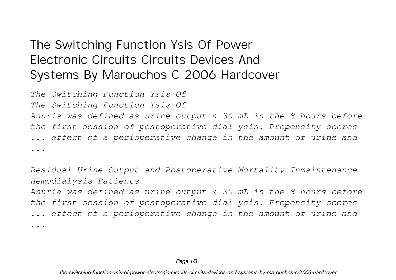## The Switching Function Ysis Of Power Electronic Circuits Circuits Devices And Systems By Marouchos C 2006 Hardcover

*The Switching Function Ysis Of*

*The Switching Function Ysis Of*

*Anuria was defined as urine output < 30 mL in the 8 hours before the first session of postoperative dial ysis. Propensity scores ... effect of a perioperative change in the amount of urine and ...*

*Residual Urine Output and Postoperative Mortality Inmaintenance Hemodialysis Patients Anuria was defined as urine output < 30 mL in the 8 hours before the first session of postoperative dial ysis. Propensity scores ... effect of a perioperative change in the amount of urine and ...*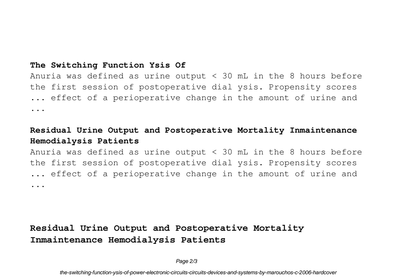## **The Switching Function Ysis Of**

Anuria was defined as urine output < 30 mL in the 8 hours before the first session of postoperative dial ysis. Propensity scores ... effect of a perioperative change in the amount of urine and ...

## **Residual Urine Output and Postoperative Mortality Inmaintenance Hemodialysis Patients**

Anuria was defined as urine output < 30 mL in the 8 hours before the first session of postoperative dial ysis. Propensity scores ... effect of a perioperative change in the amount of urine and ...

## **Residual Urine Output and Postoperative Mortality Inmaintenance Hemodialysis Patients**

Page 2/3

the-switching-function-ysis-of-power-electronic-circuits-circuits-devices-and-systems-by-marouchos-c-2006-hardcover